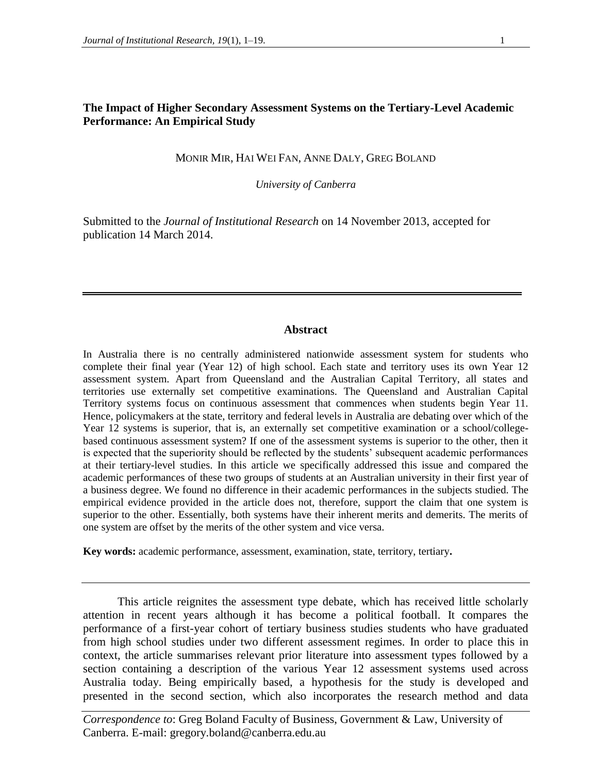# **The Impact of Higher Secondary Assessment Systems on the Tertiary-Level Academic Performance: An Empirical Study**

MONIR MIR, HAI WEI FAN, ANNE DALY, GREG BOLAND

*University of Canberra*

Submitted to the *Journal of Institutional Research* on 14 November 2013, accepted for publication 14 March 2014.

#### **Abstract**

In Australia there is no centrally administered nationwide assessment system for students who complete their final year (Year 12) of high school. Each state and territory uses its own Year 12 assessment system. Apart from Queensland and the Australian Capital Territory, all states and territories use externally set competitive examinations. The Queensland and Australian Capital Territory systems focus on continuous assessment that commences when students begin Year 11. Hence, policymakers at the state, territory and federal levels in Australia are debating over which of the Year 12 systems is superior, that is, an externally set competitive examination or a school/collegebased continuous assessment system? If one of the assessment systems is superior to the other, then it is expected that the superiority should be reflected by the students' subsequent academic performances at their tertiary-level studies. In this article we specifically addressed this issue and compared the academic performances of these two groups of students at an Australian university in their first year of a business degree. We found no difference in their academic performances in the subjects studied. The empirical evidence provided in the article does not, therefore, support the claim that one system is superior to the other. Essentially, both systems have their inherent merits and demerits. The merits of one system are offset by the merits of the other system and vice versa.

**Key words:** academic performance, assessment, examination, state, territory, tertiary**.**

This article reignites the assessment type debate, which has received little scholarly attention in recent years although it has become a political football. It compares the performance of a first-year cohort of tertiary business studies students who have graduated from high school studies under two different assessment regimes. In order to place this in context, the article summarises relevant prior literature into assessment types followed by a section containing a description of the various Year 12 assessment systems used across Australia today. Being empirically based, a hypothesis for the study is developed and presented in the second section, which also incorporates the research method and data

*Correspondence to*: Greg Boland Faculty of Business, Government & Law, University of Canberra. E-mail: gregory.boland@canberra.edu.au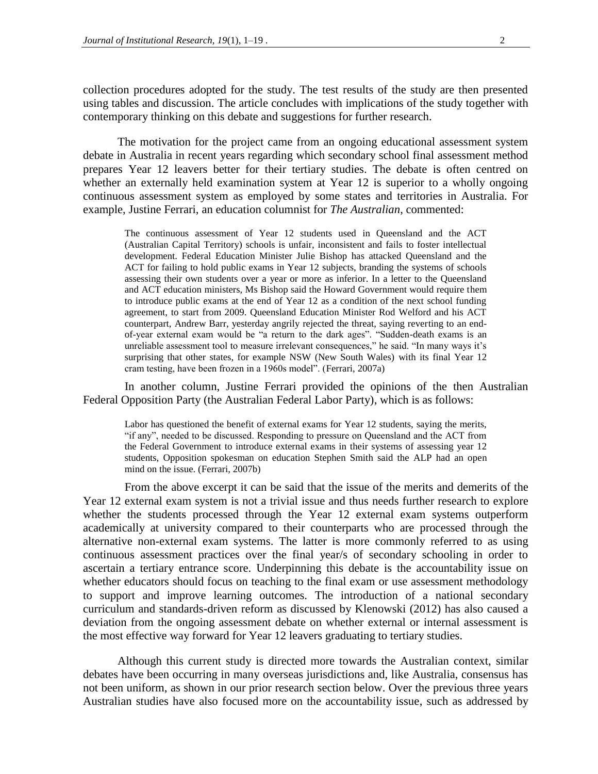collection procedures adopted for the study. The test results of the study are then presented using tables and discussion. The article concludes with implications of the study together with contemporary thinking on this debate and suggestions for further research.

The motivation for the project came from an ongoing educational assessment system debate in Australia in recent years regarding which secondary school final assessment method prepares Year 12 leavers better for their tertiary studies. The debate is often centred on whether an externally held examination system at Year 12 is superior to a wholly ongoing continuous assessment system as employed by some states and territories in Australia. For example, Justine Ferrari, an education columnist for *The Australian*, commented:

The continuous assessment of Year 12 students used in Queensland and the ACT (Australian Capital Territory) schools is unfair, inconsistent and fails to foster intellectual development. Federal Education Minister Julie Bishop has attacked Queensland and the ACT for failing to hold public exams in Year 12 subjects, branding the systems of schools assessing their own students over a year or more as inferior. In a letter to the Queensland and ACT education ministers, Ms Bishop said the Howard Government would require them to introduce public exams at the end of Year 12 as a condition of the next school funding agreement, to start from 2009. Queensland Education Minister Rod Welford and his ACT counterpart, Andrew Barr, yesterday angrily rejected the threat, saying reverting to an endof-year external exam would be "a return to the dark ages". "Sudden-death exams is an unreliable assessment tool to measure irrelevant consequences," he said. "In many ways it's surprising that other states, for example NSW (New South Wales) with its final Year 12 cram testing, have been frozen in a 1960s model". (Ferrari, 2007a)

In another column, Justine Ferrari provided the opinions of the then Australian Federal Opposition Party (the Australian Federal Labor Party), which is as follows:

Labor has questioned the benefit of external exams for Year 12 students, saying the merits, "if any", needed to be discussed. Responding to pressure on Queensland and the ACT from the Federal Government to introduce external exams in their systems of assessing year 12 students, Opposition spokesman on education Stephen Smith said the ALP had an open mind on the issue. (Ferrari, 2007b)

From the above excerpt it can be said that the issue of the merits and demerits of the Year 12 external exam system is not a trivial issue and thus needs further research to explore whether the students processed through the Year 12 external exam systems outperform academically at university compared to their counterparts who are processed through the alternative non-external exam systems. The latter is more commonly referred to as using continuous assessment practices over the final year/s of secondary schooling in order to ascertain a tertiary entrance score. Underpinning this debate is the accountability issue on whether educators should focus on teaching to the final exam or use assessment methodology to support and improve learning outcomes. The introduction of a national secondary curriculum and standards-driven reform as discussed by Klenowski (2012) has also caused a deviation from the ongoing assessment debate on whether external or internal assessment is the most effective way forward for Year 12 leavers graduating to tertiary studies.

Although this current study is directed more towards the Australian context, similar debates have been occurring in many overseas jurisdictions and, like Australia, consensus has not been uniform, as shown in our prior research section below. Over the previous three years Australian studies have also focused more on the accountability issue, such as addressed by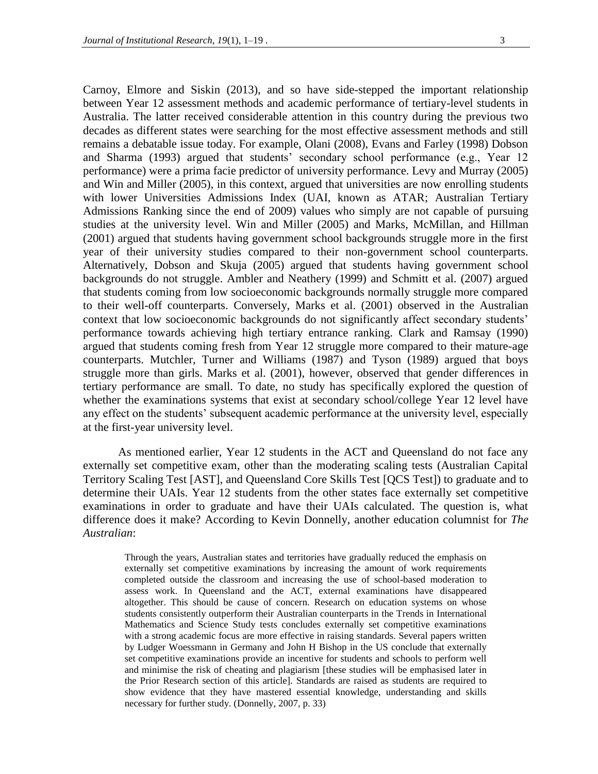Carnoy, Elmore and Siskin (2013), and so have side-stepped the important relationship between Year 12 assessment methods and academic performance of tertiary-level students in Australia. The latter received considerable attention in this country during the previous two decades as different states were searching for the most effective assessment methods and still remains a debatable issue today. For example, Olani (2008), Evans and Farley (1998) Dobson and Sharma (1993) argued that students' secondary school performance (e.g., Year 12 performance) were a prima facie predictor of university performance. Levy and Murray (2005) and Win and Miller (2005), in this context, argued that universities are now enrolling students with lower Universities Admissions Index (UAI, known as ATAR; Australian Tertiary Admissions Ranking since the end of 2009) values who simply are not capable of pursuing studies at the university level. Win and Miller (2005) and Marks, McMillan, and Hillman (2001) argued that students having government school backgrounds struggle more in the first year of their university studies compared to their non-government school counterparts. Alternatively, Dobson and Skuja (2005) argued that students having government school backgrounds do not struggle. Ambler and Neathery (1999) and Schmitt et al. (2007) argued that students coming from low socioeconomic backgrounds normally struggle more compared to their well-off counterparts. Conversely, Marks et al. (2001) observed in the Australian context that low socioeconomic backgrounds do not significantly affect secondary students' performance towards achieving high tertiary entrance ranking. Clark and Ramsay (1990) argued that students coming fresh from Year 12 struggle more compared to their mature-age counterparts. Mutchler, Turner and Williams (1987) and Tyson (1989) argued that boys struggle more than girls. Marks et al. (2001), however, observed that gender differences in tertiary performance are small. To date, no study has specifically explored the question of whether the examinations systems that exist at secondary school/college Year 12 level have any effect on the students' subsequent academic performance at the university level, especially at the first-year university level.

As mentioned earlier, Year 12 students in the ACT and Queensland do not face any externally set competitive exam, other than the moderating scaling tests (Australian Capital Territory Scaling Test [AST], and Queensland Core Skills Test [QCS Test]) to graduate and to determine their UAIs. Year 12 students from the other states face externally set competitive examinations in order to graduate and have their UAIs calculated. The question is, what difference does it make? According to Kevin Donnelly, another education columnist for *The Australian*:

Through the years, Australian states and territories have gradually reduced the emphasis on externally set competitive examinations by increasing the amount of work requirements completed outside the classroom and increasing the use of school-based moderation to assess work. In Queensland and the ACT, external examinations have disappeared altogether. This should be cause of concern. Research on education systems on whose students consistently outperform their Australian counterparts in the Trends in International Mathematics and Science Study tests concludes externally set competitive examinations with a strong academic focus are more effective in raising standards. Several papers written by Ludger Woessmann in Germany and John H Bishop in the US conclude that externally set competitive examinations provide an incentive for students and schools to perform well and minimise the risk of cheating and plagiarism [these studies will be emphasised later in the Prior Research section of this article]. Standards are raised as students are required to show evidence that they have mastered essential knowledge, understanding and skills necessary for further study. (Donnelly*,* 2007, p. 33)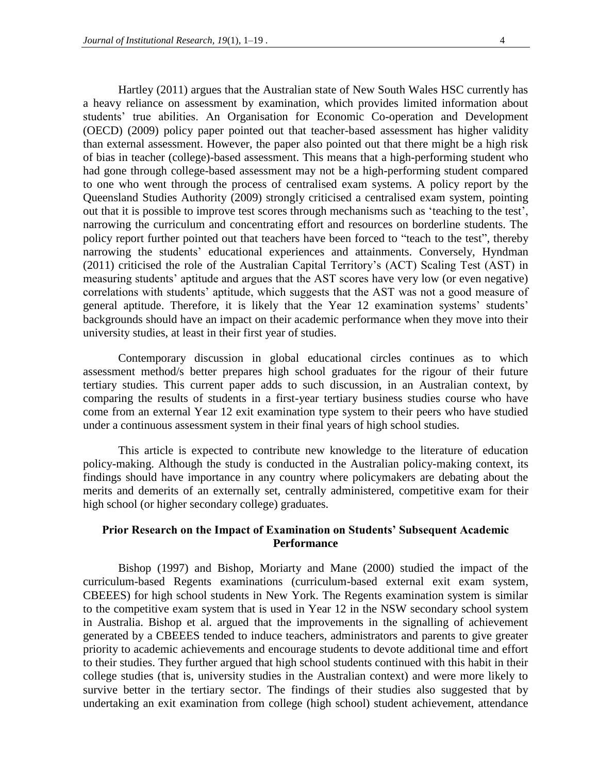Hartley (2011) argues that the Australian state of New South Wales HSC currently has a heavy reliance on assessment by examination, which provides limited information about students' true abilities. An Organisation for Economic Co-operation and Development (OECD) (2009) policy paper pointed out that teacher-based assessment has higher validity than external assessment. However, the paper also pointed out that there might be a high risk of bias in teacher (college)-based assessment. This means that a high-performing student who had gone through college-based assessment may not be a high-performing student compared to one who went through the process of centralised exam systems. A policy report by the Queensland Studies Authority (2009) strongly criticised a centralised exam system, pointing out that it is possible to improve test scores through mechanisms such as 'teaching to the test', narrowing the curriculum and concentrating effort and resources on borderline students. The policy report further pointed out that teachers have been forced to "teach to the test", thereby narrowing the students' educational experiences and attainments. Conversely, Hyndman (2011) criticised the role of the Australian Capital Territory's (ACT) Scaling Test (AST) in measuring students' aptitude and argues that the AST scores have very low (or even negative) correlations with students' aptitude, which suggests that the AST was not a good measure of general aptitude. Therefore, it is likely that the Year 12 examination systems' students' backgrounds should have an impact on their academic performance when they move into their university studies, at least in their first year of studies.

Contemporary discussion in global educational circles continues as to which assessment method/s better prepares high school graduates for the rigour of their future tertiary studies. This current paper adds to such discussion, in an Australian context, by comparing the results of students in a first-year tertiary business studies course who have come from an external Year 12 exit examination type system to their peers who have studied under a continuous assessment system in their final years of high school studies.

This article is expected to contribute new knowledge to the literature of education policy-making. Although the study is conducted in the Australian policy-making context, its findings should have importance in any country where policymakers are debating about the merits and demerits of an externally set, centrally administered, competitive exam for their high school (or higher secondary college) graduates.

## **Prior Research on the Impact of Examination on Students' Subsequent Academic Performance**

Bishop (1997) and Bishop, Moriarty and Mane (2000) studied the impact of the curriculum-based Regents examinations (curriculum-based external exit exam system, CBEEES) for high school students in New York. The Regents examination system is similar to the competitive exam system that is used in Year 12 in the NSW secondary school system in Australia. Bishop et al. argued that the improvements in the signalling of achievement generated by a CBEEES tended to induce teachers, administrators and parents to give greater priority to academic achievements and encourage students to devote additional time and effort to their studies. They further argued that high school students continued with this habit in their college studies (that is, university studies in the Australian context) and were more likely to survive better in the tertiary sector. The findings of their studies also suggested that by undertaking an exit examination from college (high school) student achievement, attendance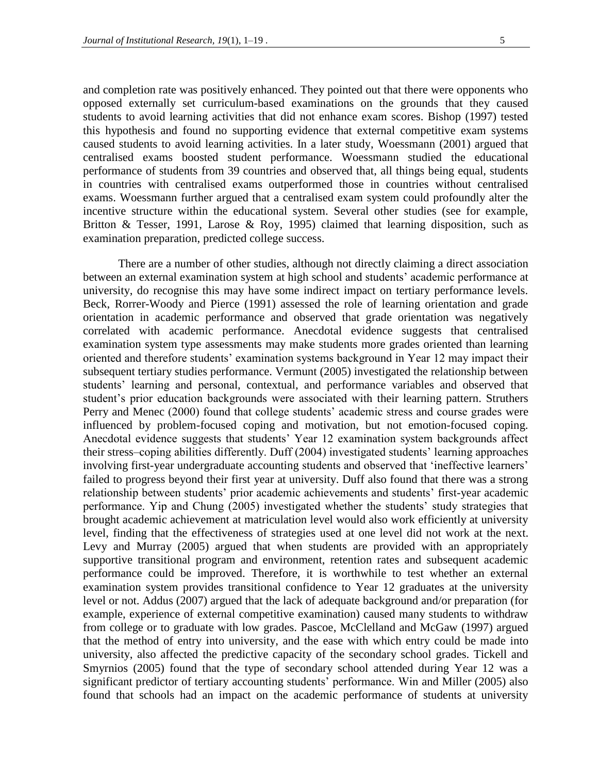and completion rate was positively enhanced. They pointed out that there were opponents who opposed externally set curriculum-based examinations on the grounds that they caused students to avoid learning activities that did not enhance exam scores. Bishop (1997) tested this hypothesis and found no supporting evidence that external competitive exam systems caused students to avoid learning activities. In a later study, Woessmann (2001) argued that centralised exams boosted student performance. Woessmann studied the educational performance of students from 39 countries and observed that, all things being equal, students in countries with centralised exams outperformed those in countries without centralised exams. Woessmann further argued that a centralised exam system could profoundly alter the incentive structure within the educational system. Several other studies (see for example, Britton & Tesser, 1991, Larose & Roy, 1995) claimed that learning disposition, such as examination preparation, predicted college success.

There are a number of other studies, although not directly claiming a direct association between an external examination system at high school and students' academic performance at university, do recognise this may have some indirect impact on tertiary performance levels. Beck, Rorrer-Woody and Pierce (1991) assessed the role of learning orientation and grade orientation in academic performance and observed that grade orientation was negatively correlated with academic performance. Anecdotal evidence suggests that centralised examination system type assessments may make students more grades oriented than learning oriented and therefore students' examination systems background in Year 12 may impact their subsequent tertiary studies performance. Vermunt (2005) investigated the relationship between students' learning and personal, contextual, and performance variables and observed that student's prior education backgrounds were associated with their learning pattern. Struthers Perry and Menec (2000) found that college students' academic stress and course grades were influenced by problem-focused coping and motivation, but not emotion-focused coping. Anecdotal evidence suggests that students' Year 12 examination system backgrounds affect their stress–coping abilities differently. Duff (2004) investigated students' learning approaches involving first-year undergraduate accounting students and observed that 'ineffective learners' failed to progress beyond their first year at university. Duff also found that there was a strong relationship between students' prior academic achievements and students' first-year academic performance. Yip and Chung (2005) investigated whether the students' study strategies that brought academic achievement at matriculation level would also work efficiently at university level, finding that the effectiveness of strategies used at one level did not work at the next. Levy and Murray (2005) argued that when students are provided with an appropriately supportive transitional program and environment, retention rates and subsequent academic performance could be improved. Therefore, it is worthwhile to test whether an external examination system provides transitional confidence to Year 12 graduates at the university level or not. Addus (2007) argued that the lack of adequate background and/or preparation (for example, experience of external competitive examination) caused many students to withdraw from college or to graduate with low grades. Pascoe, McClelland and McGaw (1997) argued that the method of entry into university, and the ease with which entry could be made into university, also affected the predictive capacity of the secondary school grades. Tickell and Smyrnios (2005) found that the type of secondary school attended during Year 12 was a significant predictor of tertiary accounting students' performance. Win and Miller (2005) also found that schools had an impact on the academic performance of students at university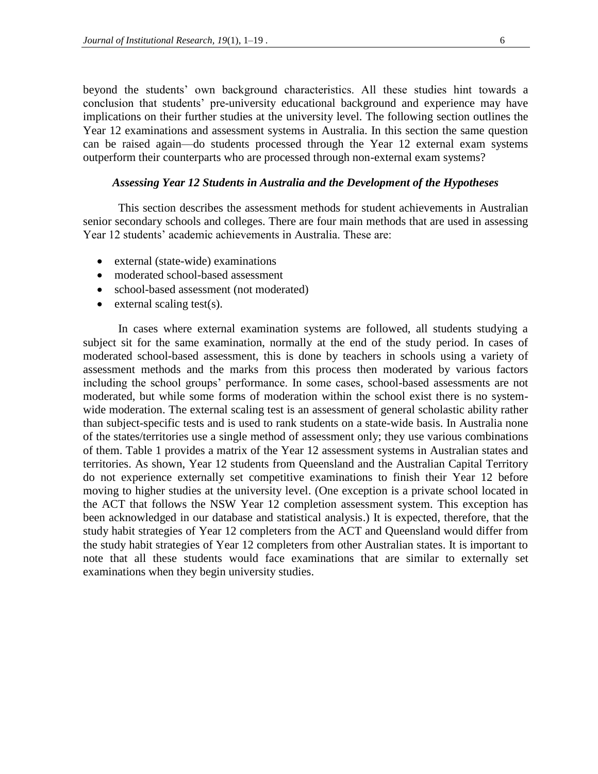beyond the students' own background characteristics. All these studies hint towards a conclusion that students' pre-university educational background and experience may have implications on their further studies at the university level. The following section outlines the Year 12 examinations and assessment systems in Australia. In this section the same question can be raised again—do students processed through the Year 12 external exam systems outperform their counterparts who are processed through non-external exam systems?

### *Assessing Year 12 Students in Australia and the Development of the Hypotheses*

This section describes the assessment methods for student achievements in Australian senior secondary schools and colleges. There are four main methods that are used in assessing Year 12 students' academic achievements in Australia. These are:

- external (state-wide) examinations
- moderated school-based assessment
- school-based assessment (not moderated)
- $\bullet$  external scaling test(s).

In cases where external examination systems are followed, all students studying a subject sit for the same examination, normally at the end of the study period. In cases of moderated school-based assessment, this is done by teachers in schools using a variety of assessment methods and the marks from this process then moderated by various factors including the school groups' performance. In some cases, school-based assessments are not moderated, but while some forms of moderation within the school exist there is no systemwide moderation. The external scaling test is an assessment of general scholastic ability rather than subject-specific tests and is used to rank students on a state-wide basis. In Australia none of the states/territories use a single method of assessment only; they use various combinations of them. Table 1 provides a matrix of the Year 12 assessment systems in Australian states and territories. As shown, Year 12 students from Queensland and the Australian Capital Territory do not experience externally set competitive examinations to finish their Year 12 before moving to higher studies at the university level. (One exception is a private school located in the ACT that follows the NSW Year 12 completion assessment system. This exception has been acknowledged in our database and statistical analysis.) It is expected, therefore, that the study habit strategies of Year 12 completers from the ACT and Queensland would differ from the study habit strategies of Year 12 completers from other Australian states. It is important to note that all these students would face examinations that are similar to externally set examinations when they begin university studies.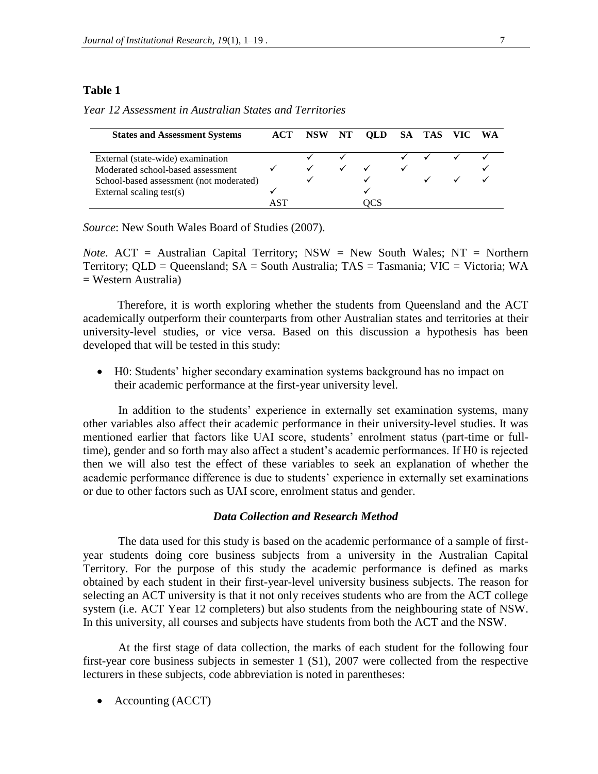| <b>States and Assessment Systems</b>    | ACT |  | NSW NT OLD | SA TAS VIC WA |  |
|-----------------------------------------|-----|--|------------|---------------|--|
| External (state-wide) examination       |     |  |            |               |  |
| Moderated school-based assessment       |     |  |            |               |  |
| School-based assessment (not moderated) |     |  | ✓          |               |  |
| External scaling test $(s)$             |     |  |            |               |  |
|                                         |     |  |            |               |  |

*Year 12 Assessment in Australian States and Territories*

*Source*: New South Wales Board of Studies (2007).

*Note*. ACT = Australian Capital Territory; NSW = New South Wales; NT = Northern Territory; QLD = Queensland; SA = South Australia; TAS = Tasmania; VIC = Victoria; WA  $=$  Western Australia)

Therefore, it is worth exploring whether the students from Queensland and the ACT academically outperform their counterparts from other Australian states and territories at their university-level studies, or vice versa. Based on this discussion a hypothesis has been developed that will be tested in this study:

 H0: Students' higher secondary examination systems background has no impact on their academic performance at the first-year university level.

In addition to the students' experience in externally set examination systems, many other variables also affect their academic performance in their university-level studies. It was mentioned earlier that factors like UAI score, students' enrolment status (part-time or fulltime), gender and so forth may also affect a student's academic performances. If H0 is rejected then we will also test the effect of these variables to seek an explanation of whether the academic performance difference is due to students' experience in externally set examinations or due to other factors such as UAI score, enrolment status and gender.

### *Data Collection and Research Method*

The data used for this study is based on the academic performance of a sample of firstyear students doing core business subjects from a university in the Australian Capital Territory. For the purpose of this study the academic performance is defined as marks obtained by each student in their first-year-level university business subjects. The reason for selecting an ACT university is that it not only receives students who are from the ACT college system (i.e. ACT Year 12 completers) but also students from the neighbouring state of NSW. In this university, all courses and subjects have students from both the ACT and the NSW.

At the first stage of data collection, the marks of each student for the following four first-year core business subjects in semester 1 (S1), 2007 were collected from the respective lecturers in these subjects, code abbreviation is noted in parentheses:

Accounting (ACCT)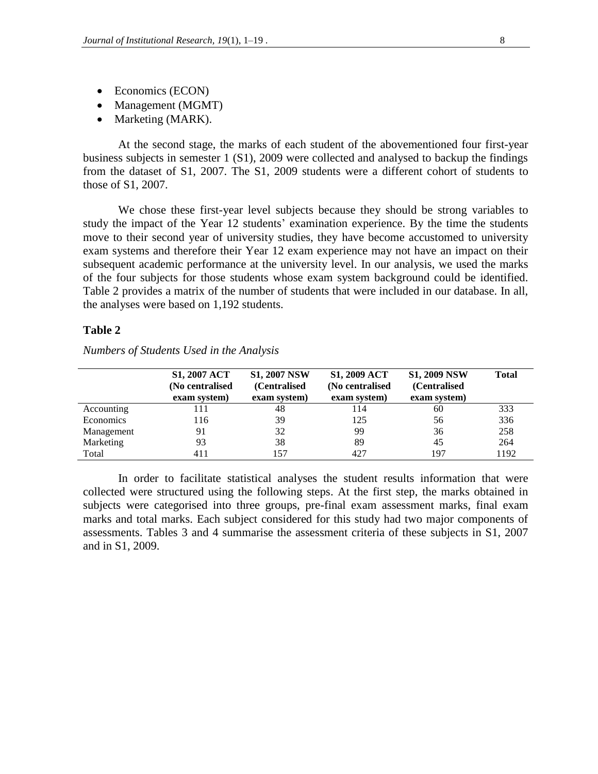- Economics (ECON)
- Management (MGMT)
- Marketing (MARK).

At the second stage, the marks of each student of the abovementioned four first-year business subjects in semester 1 (S1), 2009 were collected and analysed to backup the findings from the dataset of S1, 2007. The S1, 2009 students were a different cohort of students to those of S1, 2007.

We chose these first-year level subjects because they should be strong variables to study the impact of the Year 12 students' examination experience. By the time the students move to their second year of university studies, they have become accustomed to university exam systems and therefore their Year 12 exam experience may not have an impact on their subsequent academic performance at the university level. In our analysis, we used the marks of the four subjects for those students whose exam system background could be identified. Table 2 provides a matrix of the number of students that were included in our database. In all, the analyses were based on 1,192 students.

### **Table 2**

|            | <b>S1, 2007 ACT</b> | <b>S1, 2007 NSW</b> | <b>S1, 2009 ACT</b> | <b>S1, 2009 NSW</b> | <b>Total</b> |
|------------|---------------------|---------------------|---------------------|---------------------|--------------|
|            | (No centralised     | (Centralised)       | (No centralised     | (Centralised        |              |
|            | exam system)        | exam system)        | exam system)        | exam system)        |              |
| Accounting | 111                 | 48                  | 114                 | 60                  | 333          |
| Economics  | 116                 | 39                  | 125                 | 56                  | 336          |
| Management | 91                  | 32                  | 99                  | 36                  | 258          |
| Marketing  | 93                  | 38                  | 89                  | 45                  | 264          |
| Total      | 411                 | 157                 | 427                 | 197                 | 1192         |

*Numbers of Students Used in the Analysis*

In order to facilitate statistical analyses the student results information that were collected were structured using the following steps. At the first step, the marks obtained in subjects were categorised into three groups, pre-final exam assessment marks, final exam marks and total marks. Each subject considered for this study had two major components of assessments. Tables 3 and 4 summarise the assessment criteria of these subjects in S1, 2007 and in S1, 2009.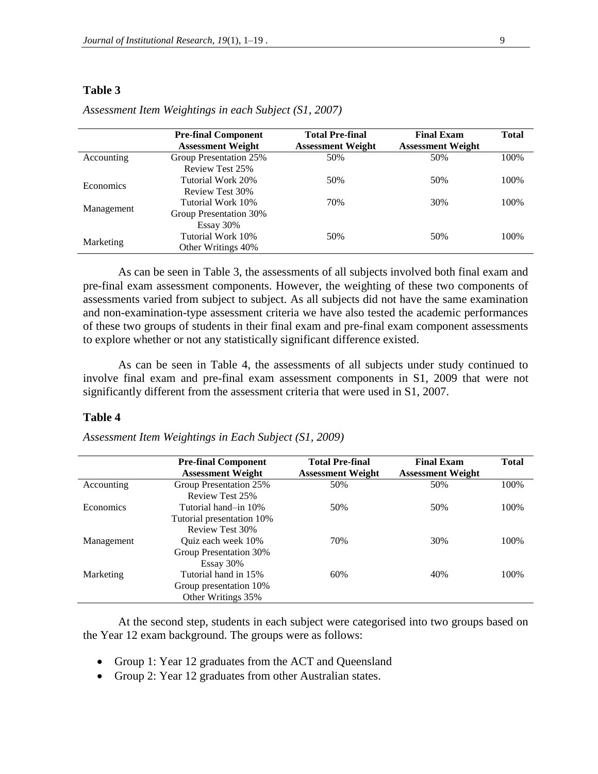|                  | <b>Pre-final Component</b><br><b>Assessment Weight</b> | <b>Total Pre-final</b><br><b>Assessment Weight</b> | <b>Final Exam</b><br><b>Assessment Weight</b> | <b>Total</b> |
|------------------|--------------------------------------------------------|----------------------------------------------------|-----------------------------------------------|--------------|
| Accounting       | Group Presentation 25%<br>Review Test 25%              | 50%                                                | 50%                                           | 100%         |
| <b>Economics</b> | Tutorial Work 20%<br>Review Test 30%                   | 50%                                                | 50%                                           | 100%         |
| Management       | Tutorial Work 10%<br>Group Presentation 30%            | 70%                                                | 30%                                           | 100%         |
| Marketing        | Essay 30%<br>Tutorial Work 10%<br>Other Writings 40%   | 50%                                                | 50%                                           | 100%         |

*Assessment Item Weightings in each Subject (S1, 2007)*

As can be seen in Table 3, the assessments of all subjects involved both final exam and pre-final exam assessment components. However, the weighting of these two components of assessments varied from subject to subject. As all subjects did not have the same examination and non-examination-type assessment criteria we have also tested the academic performances of these two groups of students in their final exam and pre-final exam component assessments to explore whether or not any statistically significant difference existed.

As can be seen in Table 4, the assessments of all subjects under study continued to involve final exam and pre-final exam assessment components in S1, 2009 that were not significantly different from the assessment criteria that were used in S1, 2007.

#### **Table 4**

*Assessment Item Weightings in Each Subject (S1, 2009)*

|            | <b>Pre-final Component</b><br><b>Assessment Weight</b> | <b>Total Pre-final</b><br><b>Assessment Weight</b> | <b>Final Exam</b><br><b>Assessment Weight</b> | <b>Total</b> |
|------------|--------------------------------------------------------|----------------------------------------------------|-----------------------------------------------|--------------|
| Accounting | Group Presentation 25%                                 | 50%                                                | 50%                                           | 100%         |
|            | Review Test 25%                                        |                                                    |                                               |              |
| Economics  | Tutorial hand–in 10%                                   | 50%                                                | 50%                                           | 100%         |
|            | Tutorial presentation 10%                              |                                                    |                                               |              |
|            | Review Test 30%                                        |                                                    |                                               |              |
| Management | Ouiz each week 10%                                     | 70%                                                | 30%                                           | 100%         |
|            | Group Presentation 30%                                 |                                                    |                                               |              |
|            | Essay 30%                                              |                                                    |                                               |              |
| Marketing  | Tutorial hand in 15%                                   | 60%                                                | 40%                                           | 100%         |
|            | Group presentation 10%                                 |                                                    |                                               |              |
|            | Other Writings 35%                                     |                                                    |                                               |              |

At the second step, students in each subject were categorised into two groups based on the Year 12 exam background. The groups were as follows:

- Group 1: Year 12 graduates from the ACT and Queensland
- Group 2: Year 12 graduates from other Australian states.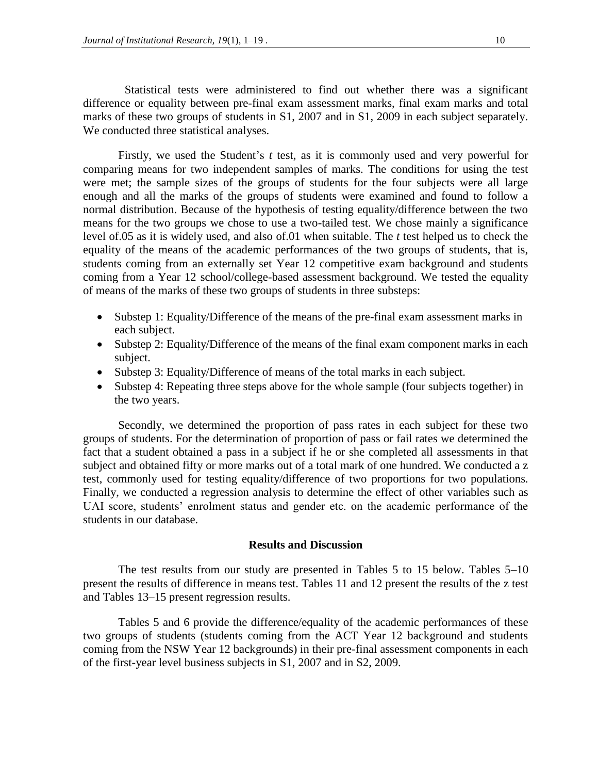Statistical tests were administered to find out whether there was a significant difference or equality between pre-final exam assessment marks, final exam marks and total marks of these two groups of students in S1, 2007 and in S1, 2009 in each subject separately. We conducted three statistical analyses.

Firstly, we used the Student's *t* test, as it is commonly used and very powerful for comparing means for two independent samples of marks. The conditions for using the test were met; the sample sizes of the groups of students for the four subjects were all large enough and all the marks of the groups of students were examined and found to follow a normal distribution. Because of the hypothesis of testing equality/difference between the two means for the two groups we chose to use a two-tailed test. We chose mainly a significance level of.05 as it is widely used, and also of.01 when suitable. The *t* test helped us to check the equality of the means of the academic performances of the two groups of students, that is, students coming from an externally set Year 12 competitive exam background and students coming from a Year 12 school/college-based assessment background. We tested the equality of means of the marks of these two groups of students in three substeps:

- Substep 1: Equality/Difference of the means of the pre-final exam assessment marks in each subject.
- Substep 2: Equality/Difference of the means of the final exam component marks in each subject.
- Substep 3: Equality/Difference of means of the total marks in each subject.
- Substep 4: Repeating three steps above for the whole sample (four subjects together) in the two years.

Secondly, we determined the proportion of pass rates in each subject for these two groups of students. For the determination of proportion of pass or fail rates we determined the fact that a student obtained a pass in a subject if he or she completed all assessments in that subject and obtained fifty or more marks out of a total mark of one hundred. We conducted a z test, commonly used for testing equality/difference of two proportions for two populations. Finally, we conducted a regression analysis to determine the effect of other variables such as UAI score, students' enrolment status and gender etc. on the academic performance of the students in our database.

### **Results and Discussion**

The test results from our study are presented in Tables 5 to 15 below. Tables 5–10 present the results of difference in means test. Tables 11 and 12 present the results of the z test and Tables 13–15 present regression results.

Tables 5 and 6 provide the difference/equality of the academic performances of these two groups of students (students coming from the ACT Year 12 background and students coming from the NSW Year 12 backgrounds) in their pre-final assessment components in each of the first-year level business subjects in S1, 2007 and in S2, 2009.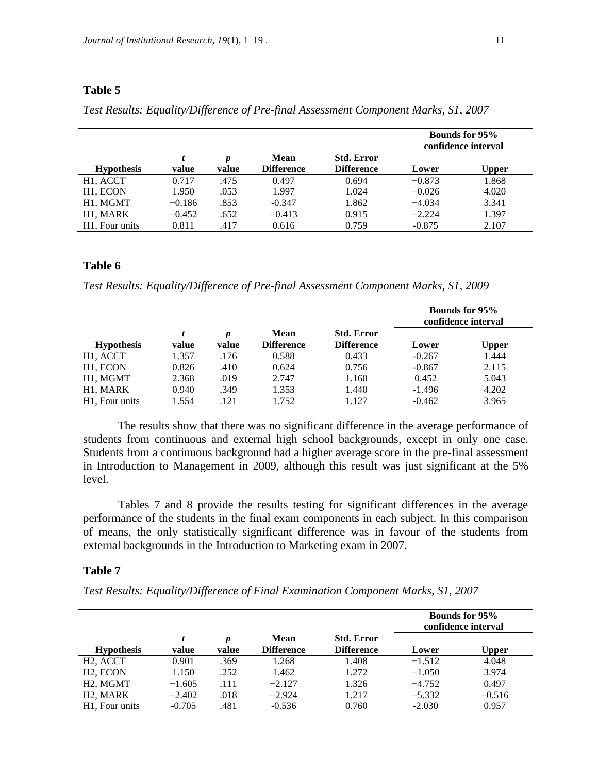|                             |          |                           |                                  |                                        |          | <b>Bounds for 95%</b><br>confidence interval |
|-----------------------------|----------|---------------------------|----------------------------------|----------------------------------------|----------|----------------------------------------------|
| <b>Hypothesis</b>           | value    | $\boldsymbol{p}$<br>value | <b>Mean</b><br><b>Difference</b> | <b>Std. Error</b><br><b>Difference</b> | Lower    | <b>Upper</b>                                 |
| H <sub>1</sub> , ACCT       | 0.717    | .475                      | 0.497                            | 0.694                                  | $-0.873$ | 1.868                                        |
| H <sub>1</sub> , ECON       | 1.950    | .053                      | 1.997                            | 1.024                                  | $-0.026$ | 4.020                                        |
| H <sub>1</sub> , MGMT       | $-0.186$ | .853                      | $-0.347$                         | 1.862                                  | $-4.034$ | 3.341                                        |
| H <sub>1</sub> , MARK       | $-0.452$ | .652                      | $-0.413$                         | 0.915                                  | $-2.224$ | 1.397                                        |
| H <sub>1</sub> . Four units | 0.811    | .417                      | 0.616                            | 0.759                                  | $-0.875$ | 2.107                                        |

*Test Results: Equality/Difference of Pre-final Assessment Component Marks, S1, 2007*

### **Table 6**

*Test Results: Equality/Difference of Pre-final Assessment Component Marks, S1, 2009*

|                             |       |            |                           |                                        | <b>Bounds for 95%</b><br>confidence interval |              |
|-----------------------------|-------|------------|---------------------------|----------------------------------------|----------------------------------------------|--------------|
| <b>Hypothesis</b>           | value | p<br>value | Mean<br><b>Difference</b> | <b>Std. Error</b><br><b>Difference</b> | Lower                                        | <b>Upper</b> |
| H <sub>1</sub> , ACCT       | 1.357 | .176       | 0.588                     | 0.433                                  | $-0.267$                                     | 1.444        |
| H <sub>1</sub> , ECON       | 0.826 | .410       | 0.624                     | 0.756                                  | $-0.867$                                     | 2.115        |
| H <sub>1</sub> , MGMT       | 2.368 | .019       | 2.747                     | 1.160                                  | 0.452                                        | 5.043        |
| H <sub>1</sub> , MARK       | 0.940 | .349       | 1.353                     | 1.440                                  | $-1.496$                                     | 4.202        |
| H <sub>1</sub> . Four units | 1.554 | .121       | 1.752                     | 1.127                                  | $-0.462$                                     | 3.965        |

The results show that there was no significant difference in the average performance of students from continuous and external high school backgrounds, except in only one case. Students from a continuous background had a higher average score in the pre-final assessment in Introduction to Management in 2009, although this result was just significant at the 5% level.

Tables 7 and 8 provide the results testing for significant differences in the average performance of the students in the final exam components in each subject. In this comparison of means, the only statistically significant difference was in favour of the students from external backgrounds in the Introduction to Marketing exam in 2007.

### **Table 7**

*Test Results: Equality/Difference of Final Examination Component Marks, S1, 2007*

|                                                |          |            |                           |                                        | <b>Bounds for 95%</b><br>confidence interval |              |
|------------------------------------------------|----------|------------|---------------------------|----------------------------------------|----------------------------------------------|--------------|
| <b>Hypothesis</b>                              | value    | p<br>value | Mean<br><b>Difference</b> | <b>Std. Error</b><br><b>Difference</b> | Lower                                        | <b>Upper</b> |
| H <sub>2</sub> , ACCT                          | 0.901    | .369       | 1.268                     | 1.408                                  | $-1.512$                                     | 4.048        |
| H <sub>2</sub> , ECON                          | 1.150    | .252       | 1.462                     | 1.272                                  | $-1.050$                                     | 3.974        |
| H <sub>2</sub> , M <sub>G</sub> M <sub>T</sub> | $-1.605$ | .111       | $-2.127$                  | 1.326                                  | $-4.752$                                     | 0.497        |
| H <sub>2</sub> , MARK                          | $-2.402$ | .018       | $-2.924$                  | 1.217                                  | $-5.332$                                     | $-0.516$     |
| H <sub>1</sub> . Four units                    | $-0.705$ | .481       | $-0.536$                  | 0.760                                  | $-2.030$                                     | 0.957        |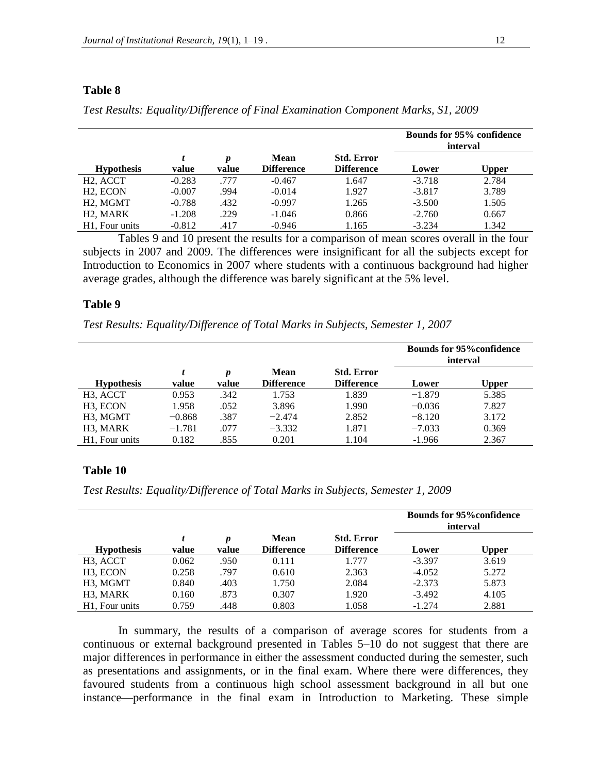|                                   |          |            |                           |                                        |          | <b>Bounds for 95% confidence</b><br>interval |
|-----------------------------------|----------|------------|---------------------------|----------------------------------------|----------|----------------------------------------------|
| <b>Hypothesis</b>                 | value    | p<br>value | Mean<br><b>Difference</b> | <b>Std. Error</b><br><b>Difference</b> | Lower    | <b>Upper</b>                                 |
| H <sub>2</sub> , ACCT             | $-0.283$ | .777       | $-0.467$                  | 1.647                                  | $-3.718$ | 2.784                                        |
| H <sub>2</sub> . ECON             | $-0.007$ | .994       | $-0.014$                  | 1.927                                  | $-3.817$ | 3.789                                        |
| H <sub>2</sub> . M <sub>GMT</sub> | $-0.788$ | .432       | $-0.997$                  | 1.265                                  | $-3.500$ | 1.505                                        |
| H <sub>2</sub> . MARK             | $-1.208$ | .229       | $-1.046$                  | 0.866                                  | $-2.760$ | 0.667                                        |
| H <sub>1</sub> . Four units       | $-0.812$ | .417       | $-0.946$                  | 1.165                                  | $-3.234$ | 1.342                                        |

*Test Results: Equality/Difference of Final Examination Component Marks, S1, 2009*

Tables 9 and 10 present the results for a comparison of mean scores overall in the four subjects in 2007 and 2009. The differences were insignificant for all the subjects except for Introduction to Economics in 2007 where students with a continuous background had higher average grades, although the difference was barely significant at the 5% level.

#### **Table 9**

*Test Results: Equality/Difference of Total Marks in Subjects, Semester 1, 2007*

|                             |          |            |                                  |                                        | <b>Bounds for 95% confidence</b><br>interval |       |
|-----------------------------|----------|------------|----------------------------------|----------------------------------------|----------------------------------------------|-------|
| <b>Hypothesis</b>           | value    | p<br>value | <b>Mean</b><br><b>Difference</b> | <b>Std. Error</b><br><b>Difference</b> | Lower                                        | Upper |
| H <sub>3</sub> , ACCT       | 0.953    | .342       | 1.753                            | 1.839                                  | $-1.879$                                     | 5.385 |
| H <sub>3</sub> , ECON       | 1.958    | .052       | 3.896                            | 1.990                                  | $-0.036$                                     | 7.827 |
| H <sub>3</sub> , MGMT       | $-0.868$ | .387       | $-2.474$                         | 2.852                                  | $-8.120$                                     | 3.172 |
| H <sub>3</sub> , MARK       | $-1.781$ | .077       | $-3.332$                         | 1.871                                  | $-7.033$                                     | 0.369 |
| H <sub>1</sub> . Four units | 0.182    | .855       | 0.201                            | 1.104                                  | $-1.966$                                     | 2.367 |

### **Table 10**

*Test Results: Equality/Difference of Total Marks in Subjects, Semester 1, 2009*

|                             |       |            |                           |                                        | <b>Bounds for 95% confidence</b><br>interval |              |
|-----------------------------|-------|------------|---------------------------|----------------------------------------|----------------------------------------------|--------------|
| <b>Hypothesis</b>           | value | p<br>value | Mean<br><b>Difference</b> | <b>Std. Error</b><br><b>Difference</b> | Lower                                        | <b>Upper</b> |
| H <sub>3</sub> , ACCT       | 0.062 | .950       | 0.111                     | 1.777                                  | $-3.397$                                     | 3.619        |
| H <sub>3</sub> , ECON       | 0.258 | .797       | 0.610                     | 2.363                                  | $-4.052$                                     | 5.272        |
| H3, MGMT                    | 0.840 | .403       | 1.750                     | 2.084                                  | $-2.373$                                     | 5.873        |
| H3, MARK                    | 0.160 | .873       | 0.307                     | 1.920                                  | $-3.492$                                     | 4.105        |
| H <sub>1</sub> . Four units | 0.759 | .448       | 0.803                     | 1.058                                  | $-1.274$                                     | 2.881        |

In summary, the results of a comparison of average scores for students from a continuous or external background presented in Tables 5–10 do not suggest that there are major differences in performance in either the assessment conducted during the semester, such as presentations and assignments, or in the final exam. Where there were differences, they favoured students from a continuous high school assessment background in all but one instance—performance in the final exam in Introduction to Marketing. These simple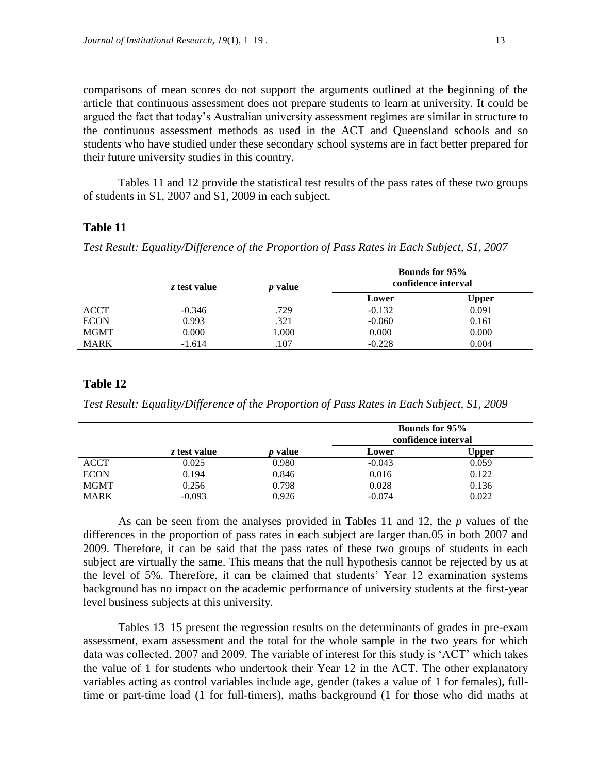comparisons of mean scores do not support the arguments outlined at the beginning of the article that continuous assessment does not prepare students to learn at university. It could be argued the fact that today's Australian university assessment regimes are similar in structure to the continuous assessment methods as used in the ACT and Queensland schools and so students who have studied under these secondary school systems are in fact better prepared for their future university studies in this country.

Tables 11 and 12 provide the statistical test results of the pass rates of these two groups of students in S1, 2007 and S1, 2009 in each subject.

### **Table 11**

*Test Result: Equality/Difference of the Proportion of Pass Rates in Each Subject, S1, 2007*

|             | z test value | <i>p</i> value |          | <b>Bounds for 95%</b><br>confidence interval |
|-------------|--------------|----------------|----------|----------------------------------------------|
|             |              |                | Lower    | Upper                                        |
| <b>ACCT</b> | $-0.346$     | .729           | $-0.132$ | 0.091                                        |
| <b>ECON</b> | 0.993        | .321           | $-0.060$ | 0.161                                        |
| <b>MGMT</b> | 0.000        | 1.000          | 0.000    | 0.000                                        |
| <b>MARK</b> | $-1.614$     | .107           | $-0.228$ | 0.004                                        |

#### **Table 12**

*Test Result: Equality/Difference of the Proportion of Pass Rates in Each Subject, S1, 2009*

|             |              |       | <b>Bounds for 95%</b><br>confidence interval |              |  |
|-------------|--------------|-------|----------------------------------------------|--------------|--|
|             | z test value | value | Lower                                        | <b>Upper</b> |  |
| <b>ACCT</b> | 0.025        | 0.980 | $-0.043$                                     | 0.059        |  |
| <b>ECON</b> | 0.194        | 0.846 | 0.016                                        | 0.122        |  |
| <b>MGMT</b> | 0.256        | 0.798 | 0.028                                        | 0.136        |  |
| <b>MARK</b> | $-0.093$     | 0.926 | $-0.074$                                     | 0.022        |  |

As can be seen from the analyses provided in Tables 11 and 12, the *p* values of the differences in the proportion of pass rates in each subject are larger than.05 in both 2007 and 2009. Therefore, it can be said that the pass rates of these two groups of students in each subject are virtually the same. This means that the null hypothesis cannot be rejected by us at the level of 5%. Therefore, it can be claimed that students' Year 12 examination systems background has no impact on the academic performance of university students at the first-year level business subjects at this university.

Tables 13–15 present the regression results on the determinants of grades in pre-exam assessment, exam assessment and the total for the whole sample in the two years for which data was collected, 2007 and 2009. The variable of interest for this study is 'ACT' which takes the value of 1 for students who undertook their Year 12 in the ACT. The other explanatory variables acting as control variables include age, gender (takes a value of 1 for females), fulltime or part-time load (1 for full-timers), maths background (1 for those who did maths at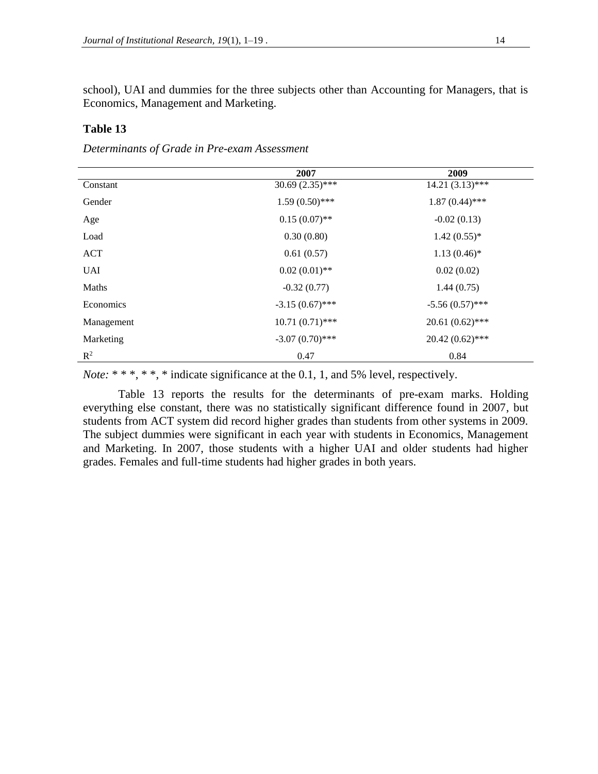school), UAI and dummies for the three subjects other than Accounting for Managers, that is Economics, Management and Marketing.

# **Table 13**

*Determinants of Grade in Pre-exam Assessment*

|                | 2007              | 2009               |
|----------------|-------------------|--------------------|
| Constant       | $30.69(2.35)$ *** | $14.21 (3.13)$ *** |
| Gender         | $1.59(0.50)$ ***  | $1.87(0.44)$ ***   |
| Age            | $0.15(0.07)$ **   | $-0.02(0.13)$      |
| Load           | 0.30(0.80)        | $1.42(0.55)*$      |
| ACT            | 0.61(0.57)        | $1.13(0.46)$ *     |
| <b>UAI</b>     | $0.02(0.01)$ **   | 0.02(0.02)         |
| Maths          | $-0.32(0.77)$     | 1.44(0.75)         |
| Economics      | $-3.15(0.67)$ *** | $-5.56(0.57)$ ***  |
| Management     | $10.71(0.71)$ *** | $20.61(0.62)$ ***  |
| Marketing      | $-3.07(0.70)$ *** | $20.42(0.62)$ ***  |
| $\mathbb{R}^2$ | 0.47              | 0.84               |

*Note:* \* \* \*, \* \*, \* indicate significance at the 0.1, 1, and 5% level, respectively.

Table 13 reports the results for the determinants of pre-exam marks. Holding everything else constant, there was no statistically significant difference found in 2007, but students from ACT system did record higher grades than students from other systems in 2009. The subject dummies were significant in each year with students in Economics, Management and Marketing. In 2007, those students with a higher UAI and older students had higher grades. Females and full-time students had higher grades in both years.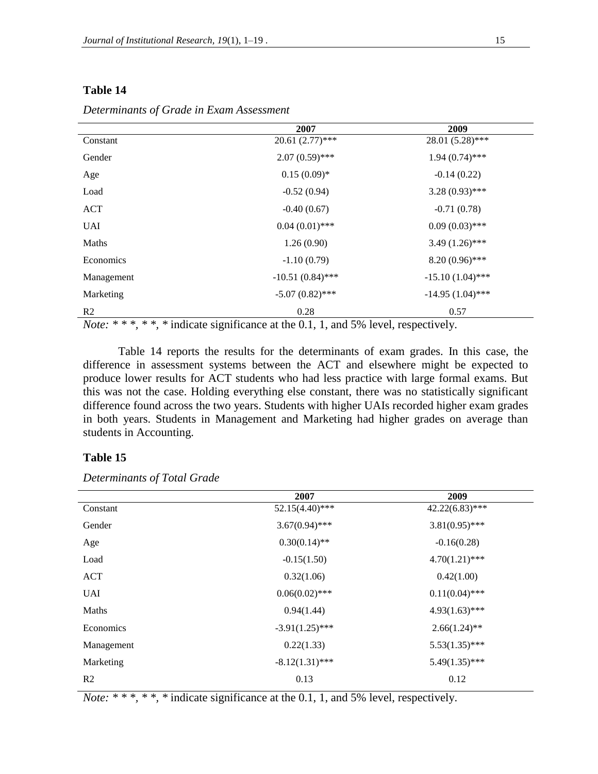|                | 2007               | 2009               |
|----------------|--------------------|--------------------|
| Constant       | $20.61(2.77)$ ***  | 28.01 (5.28)***    |
| Gender         | $2.07(0.59)$ ***   | $1.94(0.74)$ ***   |
| Age            | $0.15(0.09)*$      | $-0.14(0.22)$      |
| Load           | $-0.52(0.94)$      | $3.28(0.93)$ ***   |
| ACT            | $-0.40(0.67)$      | $-0.71(0.78)$      |
| <b>UAI</b>     | $0.04(0.01)$ ***   | $0.09(0.03)$ ***   |
| Maths          | 1.26(0.90)         | $3.49(1.26)$ ***   |
| Economics      | $-1.10(0.79)$      | $8.20(0.96)$ ***   |
| Management     | $-10.51(0.84)$ *** | $-15.10(1.04)$ *** |
| Marketing      | $-5.07(0.82)$ ***  | $-14.95(1.04)$ *** |
| R <sub>2</sub> | 0.28               | 0.57               |

*Determinants of Grade in Exam Assessment*

*Note: \* \* \*, \* \*, \** indicate significance at the 0.1, 1, and 5% level, respectively.

Table 14 reports the results for the determinants of exam grades. In this case, the difference in assessment systems between the ACT and elsewhere might be expected to produce lower results for ACT students who had less practice with large formal exams. But this was not the case. Holding everything else constant, there was no statistically significant difference found across the two years. Students with higher UAIs recorded higher exam grades in both years. Students in Management and Marketing had higher grades on average than students in Accounting.

# **Table 15**

|                | 2007              | 2009              |
|----------------|-------------------|-------------------|
| Constant       | $52.15(4.40)$ *** | $42.22(6.83)$ *** |
| Gender         | $3.67(0.94)$ ***  | $3.81(0.95)$ ***  |
| Age            | $0.30(0.14)$ **   | $-0.16(0.28)$     |
| Load           | $-0.15(1.50)$     | $4.70(1.21)$ ***  |
| <b>ACT</b>     | 0.32(1.06)        | 0.42(1.00)        |
| <b>UAI</b>     | $0.06(0.02)$ ***  | $0.11(0.04)$ ***  |
| Maths          | 0.94(1.44)        | $4.93(1.63)$ ***  |
| Economics      | $-3.91(1.25)$ *** | $2.66(1.24)$ **   |
| Management     | 0.22(1.33)        | $5.53(1.35)$ ***  |
| Marketing      | $-8.12(1.31)$ *** | $5.49(1.35)$ ***  |
| R <sub>2</sub> | 0.13              | 0.12              |

*Determinants of Total Grade*

*Note:* \* \* \*, \* \*, \* indicate significance at the 0.1, 1, and 5% level, respectively.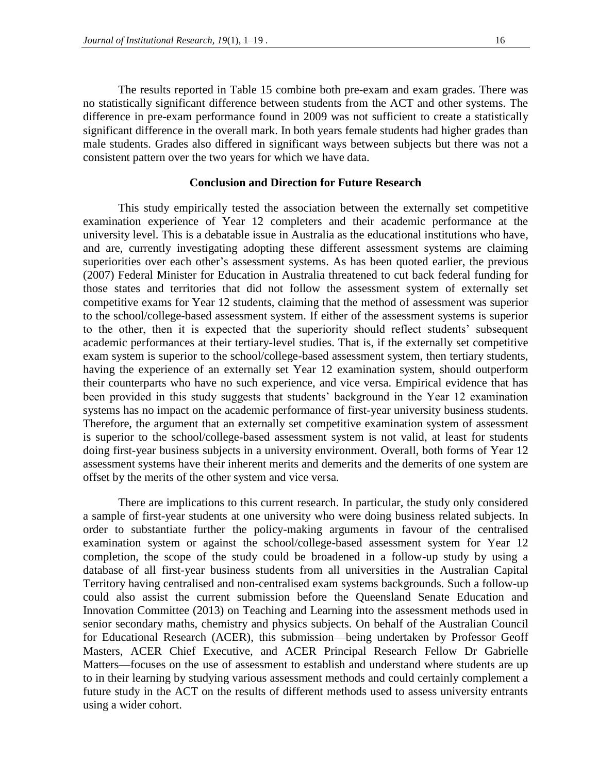The results reported in Table 15 combine both pre-exam and exam grades. There was no statistically significant difference between students from the ACT and other systems. The difference in pre-exam performance found in 2009 was not sufficient to create a statistically significant difference in the overall mark. In both years female students had higher grades than male students. Grades also differed in significant ways between subjects but there was not a consistent pattern over the two years for which we have data.

### **Conclusion and Direction for Future Research**

This study empirically tested the association between the externally set competitive examination experience of Year 12 completers and their academic performance at the university level. This is a debatable issue in Australia as the educational institutions who have, and are, currently investigating adopting these different assessment systems are claiming superiorities over each other's assessment systems. As has been quoted earlier, the previous (2007) Federal Minister for Education in Australia threatened to cut back federal funding for those states and territories that did not follow the assessment system of externally set competitive exams for Year 12 students, claiming that the method of assessment was superior to the school/college-based assessment system. If either of the assessment systems is superior to the other, then it is expected that the superiority should reflect students' subsequent academic performances at their tertiary-level studies. That is, if the externally set competitive exam system is superior to the school/college-based assessment system, then tertiary students, having the experience of an externally set Year 12 examination system, should outperform their counterparts who have no such experience, and vice versa. Empirical evidence that has been provided in this study suggests that students' background in the Year 12 examination systems has no impact on the academic performance of first-year university business students. Therefore, the argument that an externally set competitive examination system of assessment is superior to the school/college-based assessment system is not valid, at least for students doing first-year business subjects in a university environment. Overall, both forms of Year 12 assessment systems have their inherent merits and demerits and the demerits of one system are offset by the merits of the other system and vice versa.

There are implications to this current research. In particular, the study only considered a sample of first-year students at one university who were doing business related subjects. In order to substantiate further the policy-making arguments in favour of the centralised examination system or against the school/college-based assessment system for Year 12 completion, the scope of the study could be broadened in a follow-up study by using a database of all first-year business students from all universities in the Australian Capital Territory having centralised and non-centralised exam systems backgrounds. Such a follow-up could also assist the current submission before the Queensland Senate Education and Innovation Committee (2013) on Teaching and Learning into the assessment methods used in senior secondary maths, chemistry and physics subjects. On behalf of the Australian Council for Educational Research (ACER), this submission—being undertaken by Professor Geoff Masters, ACER Chief Executive, and ACER Principal Research Fellow Dr Gabrielle Matters—focuses on the use of assessment to establish and understand where students are up to in their learning by studying various assessment methods and could certainly complement a future study in the ACT on the results of different methods used to assess university entrants using a wider cohort.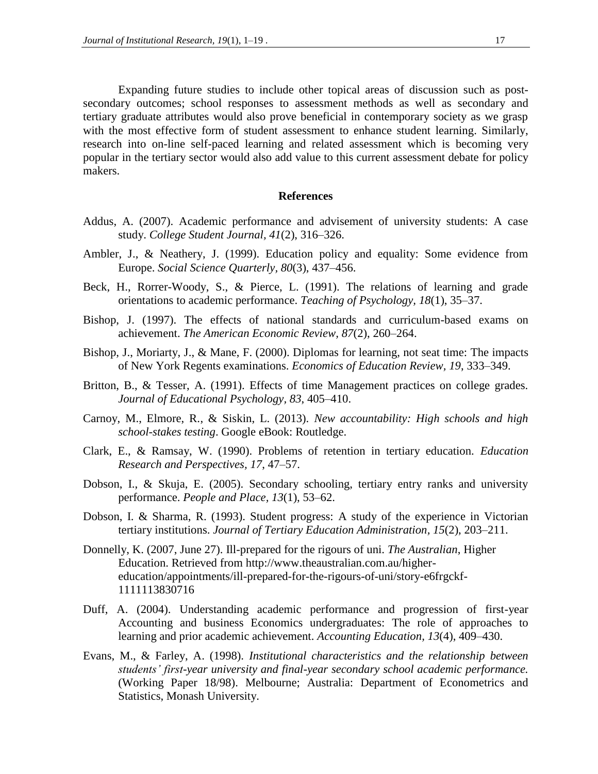Expanding future studies to include other topical areas of discussion such as postsecondary outcomes; school responses to assessment methods as well as secondary and tertiary graduate attributes would also prove beneficial in contemporary society as we grasp with the most effective form of student assessment to enhance student learning. Similarly, research into on-line self-paced learning and related assessment which is becoming very popular in the tertiary sector would also add value to this current assessment debate for policy makers.

#### **References**

- Addus, A. (2007). Academic performance and advisement of university students: A case study. *College Student Journal, 41*(2), 316–326.
- Ambler, J., & Neathery, J. (1999). Education policy and equality: Some evidence from Europe. *Social Science Quarterly, 80*(3), 437–456.
- Beck, H., Rorrer-Woody, S., & Pierce, L. (1991). The relations of learning and grade orientations to academic performance. *Teaching of Psychology, 18*(1), 35–37.
- Bishop, J. (1997). The effects of national standards and curriculum-based exams on achievement. *The American Economic Review, 87*(2), 260–264.
- Bishop, J., Moriarty, J., & Mane, F. (2000). Diplomas for learning, not seat time: The impacts of New York Regents examinations. *Economics of Education Review, 19*, 333–349.
- Britton, B., & Tesser, A. (1991). Effects of time Management practices on college grades. *Journal of Educational Psychology, 83*, 405–410.
- Carnoy, M., Elmore, R., & Siskin, L. (2013). *New accountability: High schools and high school-stakes testing*. Google eBook: Routledge.
- Clark, E., & Ramsay, W. (1990). Problems of retention in tertiary education. *Education Research and Perspectives, 17*, 47–57.
- Dobson, I., & Skuja, E. (2005). Secondary schooling, tertiary entry ranks and university performance. *People and Place, 13*(1), 53–62.
- Dobson, I. & Sharma, R. (1993). Student progress: A study of the experience in Victorian tertiary institutions. *Journal of Tertiary Education Administration, 15*(2), 203–211.
- Donnelly, K. (2007, June 27). Ill-prepared for the rigours of uni. *The Australian*, Higher Education. Retrieved from http://www.theaustralian.com.au/highereducation/appointments/ill-prepared-for-the-rigours-of-uni/story-e6frgckf-1111113830716
- Duff, A. (2004). Understanding academic performance and progression of first-year Accounting and business Economics undergraduates: The role of approaches to learning and prior academic achievement. *Accounting Education, 13*(4), 409–430.
- Evans, M., & Farley, A. (1998). *Institutional characteristics and the relationship between students' first-year university and final-year secondary school academic performance.* (Working Paper 18/98). Melbourne; Australia: Department of Econometrics and Statistics, Monash University.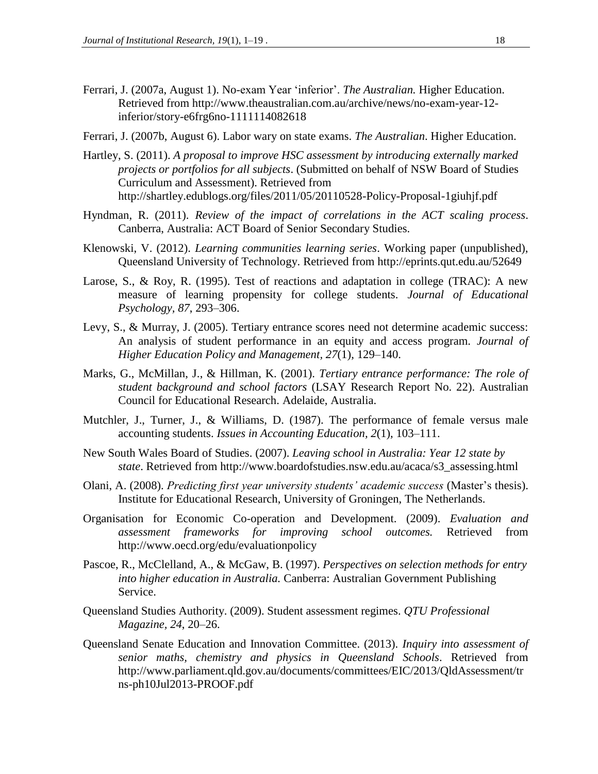- Ferrari, J. (2007a, August 1). No-exam Year 'inferior'. *The Australian.* Higher Education. Retrieved from http://www.theaustralian.com.au/archive/news/no-exam-year-12 inferior/story-e6frg6no-1111114082618
- Ferrari, J. (2007b, August 6). Labor wary on state exams. *The Australian*. Higher Education.
- Hartley, S. (2011). *A proposal to improve HSC assessment by introducing externally marked projects or portfolios for all subjects*. (Submitted on behalf of NSW Board of Studies Curriculum and Assessment). Retrieved from http://shartley.edublogs.org/files/2011/05/20110528-Policy-Proposal-1giuhjf.pdf
- Hyndman, R. (2011). *Review of the impact of correlations in the ACT scaling process*. Canberra, Australia: ACT Board of Senior Secondary Studies.
- Klenowski, V. (2012). *Learning communities learning series*. Working paper (unpublished), Queensland University of Technology. Retrieved from http://eprints.qut.edu.au/52649
- Larose, S., & Roy, R. (1995). Test of reactions and adaptation in college (TRAC): A new measure of learning propensity for college students. *Journal of Educational Psychology, 87*, 293–306.
- Levy, S., & Murray, J. (2005). Tertiary entrance scores need not determine academic success: An analysis of student performance in an equity and access program. *Journal of Higher Education Policy and Management, 27*(1), 129–140.
- Marks, G., McMillan, J., & Hillman, K. (2001). *Tertiary entrance performance: The role of student background and school factors* (LSAY Research Report No. 22). Australian Council for Educational Research. Adelaide, Australia.
- Mutchler, J., Turner, J., & Williams, D. (1987). The performance of female versus male accounting students. *Issues in Accounting Education, 2*(1), 103–111.
- New South Wales Board of Studies. (2007). *Leaving school in Australia: Year 12 state by state*. Retrieved from http://www.boardofstudies.nsw.edu.au/acaca/s3\_assessing.html
- Olani, A. (2008). *Predicting first year university students' academic success* (Master's thesis). Institute for Educational Research, University of Groningen, The Netherlands.
- Organisation for Economic Co-operation and Development. (2009). *Evaluation and assessment frameworks for improving school outcomes.* Retrieved from http://www.oecd.org/edu/evaluationpolicy
- Pascoe, R., McClelland, A., & McGaw, B. (1997). *Perspectives on selection methods for entry into higher education in Australia.* Canberra: Australian Government Publishing Service.
- Queensland Studies Authority. (2009). Student assessment regimes. *QTU Professional Magazine, 24*, 20–26.
- Queensland Senate Education and Innovation Committee. (2013). *Inquiry into assessment of senior maths, chemistry and physics in Queensland Schools*. Retrieved from http://www.parliament.qld.gov.au/documents/committees/EIC/2013/QldAssessment/tr ns-ph10Jul2013-PROOF.pdf